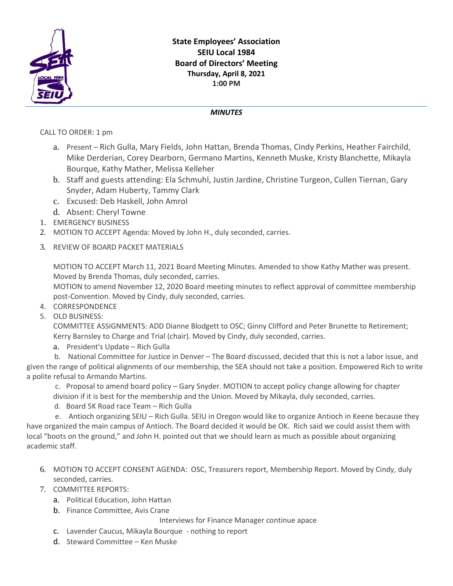

## **State Employees' Association SEIU Local 1984 Board of Directors' Meeting Thursday, April 8, 2021 1:00 PM**

## *MINUTES*

CALL TO ORDER: 1 pm

- a. Present Rich Gulla, Mary Fields, John Hattan, Brenda Thomas, Cindy Perkins, Heather Fairchild, Mike Derderian, Corey Dearborn, Germano Martins, Kenneth Muske, Kristy Blanchette, Mikayla Bourque, Kathy Mather, Melissa Kelleher
- b. Staff and guests attending: Ela Schmuhl, Justin Jardine, Christine Turgeon, Cullen Tiernan, Gary Snyder, Adam Huberty, Tammy Clark
- c. Excused: Deb Haskell, John Amrol
- d. Absent: Cheryl Towne
- 1. EMERGENCY BUSINESS
- 2. MOTION TO ACCEPT Agenda: Moved by John H., duly seconded, carries.
- 3. REVIEW OF BOARD PACKET MATERIALS

MOTION TO ACCEPT March 11, 2021 Board Meeting Minutes. Amended to show Kathy Mather was present. Moved by Brenda Thomas, duly seconded, carries.

MOTION to amend November 12, 2020 Board meeting minutes to reflect approval of committee membership post-Convention. Moved by Cindy, duly seconded, carries.

- 4. CORRESPONDENCE
- 5. OLD BUSINESS:

COMMITTEE ASSIGNMENTS: ADD Dianne Blodgett to OSC; Ginny Clifford and Peter Brunette to Retirement; Kerry Barnsley to Charge and Trial (chair). Moved by Cindy, duly seconded, carries.

a. President's Update – Rich Gulla

 b. National Committee for Justice in Denver – The Board discussed, decided that this is not a labor issue, and given the range of political alignments of our membership, the SEA should not take a position. Empowered Rich to write a polite refusal to Armando Martins.

c. Proposal to amend board policy – Gary Snyder. MOTION to accept policy change allowing for chapter division if it is best for the membership and the Union. Moved by Mikayla, duly seconded, carries.

d. Board 5K Road race Team – Rich Gulla

e. Antioch organizing SEIU – Rich Gulla. SEIU in Oregon would like to organize Antioch in Keene because they have organized the main campus of Antioch. The Board decided it would be OK. Rich said we could assist them with local "boots on the ground," and John H. pointed out that we should learn as much as possible about organizing academic staff.

- 6. MOTION TO ACCEPT CONSENT AGENDA: OSC, Treasurers report, Membership Report. Moved by Cindy, duly seconded, carries.
- 7. COMMITTEE REPORTS:
	- a. Political Education, John Hattan
	- b. Finance Committee, Avis Crane

Interviews for Finance Manager continue apace

- c. Lavender Caucus, Mikayla Bourque nothing to report
- d. Steward Committee Ken Muske